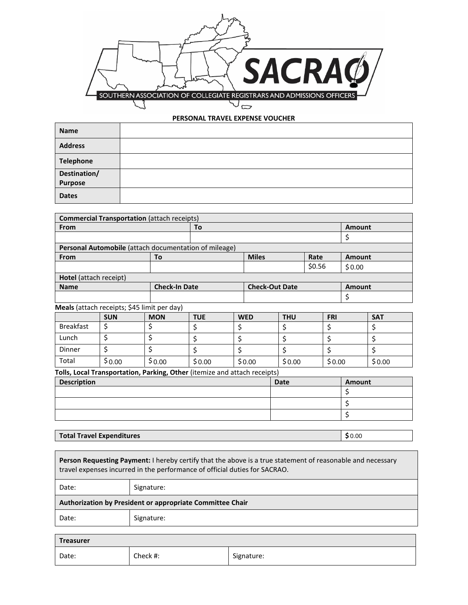

## **PERSONAL TRAVEL EXPENSE VOUCHER**

| <b>Name</b>             |  |
|-------------------------|--|
| <b>Address</b>          |  |
| <b>Telephone</b>        |  |
| Destination/<br>Purpose |  |
| <b>Dates</b>            |  |

| <b>Commercial Transportation (attach receipts)</b>                        |            |            |                      |    |                       |            |               |               |               |            |
|---------------------------------------------------------------------------|------------|------------|----------------------|----|-----------------------|------------|---------------|---------------|---------------|------------|
| From                                                                      |            |            | To                   |    |                       |            | <b>Amount</b> |               |               |            |
|                                                                           |            |            |                      |    |                       |            |               |               | Ş             |            |
| Personal Automobile (attach documentation of mileage)                     |            |            |                      |    |                       |            |               |               |               |            |
| From                                                                      |            | To         |                      |    | <b>Miles</b>          |            | Rate          |               | <b>Amount</b> |            |
|                                                                           |            |            |                      |    |                       |            | \$0.56        |               | \$0.00        |            |
| Hotel (attach receipt)                                                    |            |            |                      |    |                       |            |               |               |               |            |
| <b>Name</b>                                                               |            |            | <b>Check-In Date</b> |    | <b>Check-Out Date</b> |            |               | <b>Amount</b> |               |            |
|                                                                           |            |            |                      |    |                       |            |               | \$            |               |            |
| Meals (attach receipts; \$45 limit per day)                               |            |            |                      |    |                       |            |               |               |               |            |
|                                                                           | <b>SUN</b> | <b>MON</b> | <b>TUE</b>           |    | <b>WED</b>            | <b>THU</b> | <b>FRI</b>    |               |               | <b>SAT</b> |
| <b>Breakfast</b>                                                          | \$         | \$         | \$                   | \$ |                       | \$         |               |               |               | \$         |
| Lunch                                                                     | \$         | \$         | \$                   | \$ |                       | \$         |               | \$            |               | \$         |
| Dinner                                                                    | \$         | \$         | Ś                    | Ś  |                       | \$         |               | \$            |               | \$         |
| Total                                                                     | \$0.00     | \$0.00     | \$0.00               |    | \$0.00                | \$0.00     |               | \$0.00        |               | \$0.00     |
| Tolle, Local Transportation, Darking, Other (itemize and attach receipts) |            |            |                      |    |                       |            |               |               |               |            |

**Tolls, Local Transportation, Parking, Other** (itemize and attach receipts)

| <b>Description</b> | <b>Date</b> | Amount |
|--------------------|-------------|--------|
|                    |             |        |
|                    |             |        |
|                    |             |        |

## **Total Travel Expenditures**

 $$0.00$ 

**Person Requesting Payment:** I hereby certify that the above is a true statement of reasonable and necessary travel expenses incurred in the performance of official duties for SACRAO. T

| Date:                                                     | Signature: |  |  |  |
|-----------------------------------------------------------|------------|--|--|--|
| Authorization by President or appropriate Committee Chair |            |  |  |  |
| Date:                                                     | Signature: |  |  |  |
|                                                           |            |  |  |  |

| Treasurer |          |            |  |  |
|-----------|----------|------------|--|--|
| Date:     | Check #: | Signature: |  |  |